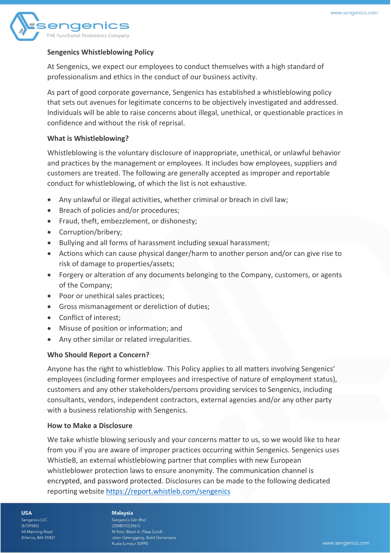

# **Sengenics Whistleblowing Policy**

At Sengenics, we expect our employees to conduct themselves with a high standard of professionalism and ethics in the conduct of our business activity.

As part of good corporate governance, Sengenics has established a whistleblowing policy that sets out avenues for legitimate concerns to be objectively investigated and addressed. Individuals will be able to raise concerns about illegal, unethical, or questionable practices in confidence and without the risk of reprisal.

## **What is Whistleblowing?**

Whistleblowing is the voluntary disclosure of inappropriate, unethical, or unlawful behavior and practices by the management or employees. It includes how employees, suppliers and customers are treated. The following are generally accepted as improper and reportable conduct for whistleblowing, of which the list is not exhaustive.

- Any unlawful or illegal activities, whether criminal or breach in civil law;
- Breach of policies and/or procedures;
- Fraud, theft, embezzlement, or dishonesty;
- Corruption/bribery;
- Bullying and all forms of harassment including sexual harassment;
- Actions which can cause physical danger/harm to another person and/or can give rise to risk of damage to properties/assets;
- Forgery or alteration of any documents belonging to the Company, customers, or agents of the Company;
- Poor or unethical sales practices;
- Gross mismanagement or dereliction of duties;
- Conflict of interest;
- Misuse of position or information; and
- Any other similar or related irregularities.

## **Who Should Report a Concern?**

Anyone has the right to whistleblow. This Policy applies to all matters involving Sengenics' employees (including former employees and irrespective of nature of employment status), customers and any other stakeholders/persons providing services to Sengenics, including consultants, vendors, independent contractors, external agencies and/or any other party with a business relationship with Sengenics.

## **How to Make a Disclosure**

We take whistle blowing seriously and your concerns matter to us, so we would like to hear from you if you are aware of improper practices occurring within Sengenics. Sengenics uses WhistleB, an external whistleblowing partner that complies with new European whistleblower protection laws to ensure anonymity. The communication channel is encrypted, and password protected. Disclosures can be made to the following dedicated reporting website <https://report.whistleb.com/sengenics>

**USA** 

Sengenics LLC  $(5739583)$ 44 Manning Road Billerica, MA 01821

# **Malaysia**

Sengenics Sdn Bhd  $(200801022561)$ M floor, Block A. Plaza Zurich Jalan Gelenggang, Bukit Damansara Kuala Lumpur 50490